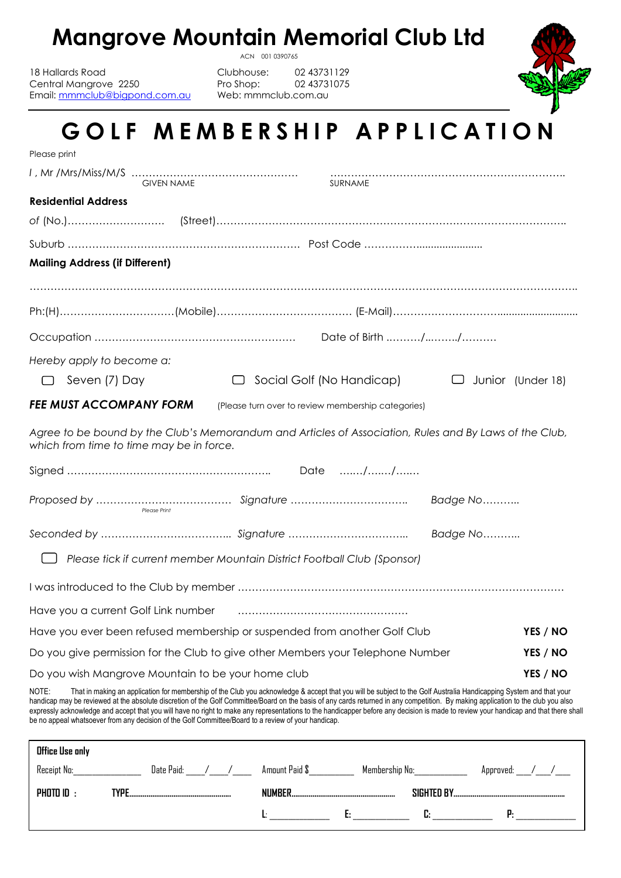### **Mangrove Mountain Memorial Club Ltd**

18 Hallards Road Clubhouse: 02 43731129 Central Mangrove 2250 Pro Shop: 02 43731075<br>
Email: mmmclub@bigpond.com.au Web: mmmclub.com.au Email: [mmmclub@bigpond.com.au](mailto:mmmclub@bigpond.com.au)

ACN 001 0390765



# GOLF MEMBERSHIP APPLICATION

| Please print                                                                                                                                                                                                                                                                                                                                                                                                                                                                                                                                             |                                                    |                          |
|----------------------------------------------------------------------------------------------------------------------------------------------------------------------------------------------------------------------------------------------------------------------------------------------------------------------------------------------------------------------------------------------------------------------------------------------------------------------------------------------------------------------------------------------------------|----------------------------------------------------|--------------------------|
| <b>GIVEN NAME</b>                                                                                                                                                                                                                                                                                                                                                                                                                                                                                                                                        | SURNAME                                            |                          |
| <b>Residential Address</b>                                                                                                                                                                                                                                                                                                                                                                                                                                                                                                                               |                                                    |                          |
|                                                                                                                                                                                                                                                                                                                                                                                                                                                                                                                                                          |                                                    |                          |
|                                                                                                                                                                                                                                                                                                                                                                                                                                                                                                                                                          |                                                    |                          |
| <b>Mailing Address (if Different)</b>                                                                                                                                                                                                                                                                                                                                                                                                                                                                                                                    |                                                    |                          |
|                                                                                                                                                                                                                                                                                                                                                                                                                                                                                                                                                          |                                                    |                          |
|                                                                                                                                                                                                                                                                                                                                                                                                                                                                                                                                                          |                                                    |                          |
|                                                                                                                                                                                                                                                                                                                                                                                                                                                                                                                                                          |                                                    |                          |
|                                                                                                                                                                                                                                                                                                                                                                                                                                                                                                                                                          |                                                    |                          |
| Hereby apply to become a:                                                                                                                                                                                                                                                                                                                                                                                                                                                                                                                                |                                                    |                          |
| Seven (7) Day                                                                                                                                                                                                                                                                                                                                                                                                                                                                                                                                            | Social Golf (No Handicap)                          | $\Box$ Junior (Under 18) |
| <b>FEE MUST ACCOMPANY FORM</b>                                                                                                                                                                                                                                                                                                                                                                                                                                                                                                                           | (Please turn over to review membership categories) |                          |
| Agree to be bound by the Club's Memorandum and Articles of Association, Rules and By Laws of the Club,<br>which from time to time may be in force.                                                                                                                                                                                                                                                                                                                                                                                                       |                                                    |                          |
|                                                                                                                                                                                                                                                                                                                                                                                                                                                                                                                                                          |                                                    |                          |
| Please Print                                                                                                                                                                                                                                                                                                                                                                                                                                                                                                                                             | Badge No                                           |                          |
|                                                                                                                                                                                                                                                                                                                                                                                                                                                                                                                                                          |                                                    |                          |
| Please tick if current member Mountain District Football Club (Sponsor)                                                                                                                                                                                                                                                                                                                                                                                                                                                                                  |                                                    |                          |
|                                                                                                                                                                                                                                                                                                                                                                                                                                                                                                                                                          |                                                    |                          |
| Have you a current Golf Link number                                                                                                                                                                                                                                                                                                                                                                                                                                                                                                                      |                                                    |                          |
| Have you ever been refused membership or suspended from another Golf Club                                                                                                                                                                                                                                                                                                                                                                                                                                                                                |                                                    | YES / NO                 |
| Do you give permission for the Club to give other Members your Telephone Number                                                                                                                                                                                                                                                                                                                                                                                                                                                                          |                                                    | YES / NO                 |
| Do you wish Mangrove Mountain to be your home club                                                                                                                                                                                                                                                                                                                                                                                                                                                                                                       |                                                    | YES / NO                 |
| That in making an application for membership of the Club you acknowledge & accept that you will be subject to the Golf Australia Handicapping System and that your<br>NOTE:<br>handicap may be reviewed at the absolute discretion of the Golf Committee/Board on the basis of any cards returned in any competition. By making application to the club you also<br>expressly acknowledge and accept that you will have no right to make any representations to the handicapper before any decision is made to review your handicap and that there shall |                                                    |                          |

| <b>Office Use only</b><br>Receipt No: | Date Paid: | Amount Paid \$ | Membership No: | Approved: |
|---------------------------------------|------------|----------------|----------------|-----------|
| PHOTO ID $\cdot$                      | TVPF       | <b>NIIMRFR</b> | SIGHTED BY     |           |
|                                       |            | . .            |                |           |

be no appeal whatsoever from any decision of the Golf Committee/Board to a review of your handicap.